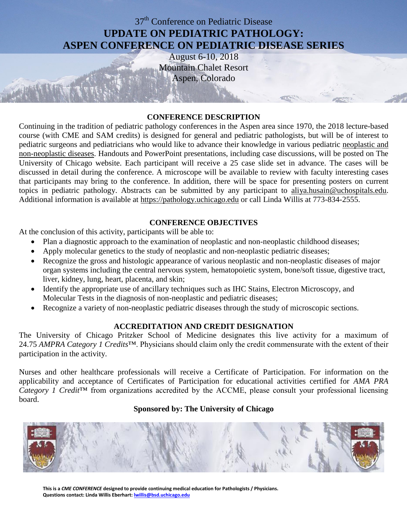# 37<sup>th</sup> Conference on Pediatric Disease **UPDATE ON PEDIATRIC PATHOLOGY: ASPEN CONFERENCE ON PEDIATRIC DISEASE SERIES**

August 6-10, 2018 Mountain Chalet Resort Aspen, Colorado

## **CONFERENCE DESCRIPTION**

Continuing in the tradition of pediatric pathology conferences in the Aspen area since 1970, the 2018 lecture-based course (with CME and SAM credits) is designed for general and pediatric pathologists, but will be of interest to pediatric surgeons and pediatricians who would like to advance their knowledge in various pediatric neoplastic and non-neoplastic diseases. Handouts and PowerPoint presentations, including case discussions, will be posted on The University of Chicago website. Each participant will receive a 25 case slide set in advance. The cases will be discussed in detail during the conference. A microscope will be available to review with faculty interesting cases that participants may bring to the conference. In addition, there will be space for presenting posters on current topics in pediatric pathology. Abstracts can be submitted by any participant to [aliya.husain@uchospitals.edu.](mailto:aliya.husain@uchospitals.edu) Additional information is available at [https://pathology.uchicago.edu](https://pathology.uchicago.edu/) or call Linda Willis at 773-834-2555.

## **CONFERENCE OBJECTIVES**

At the conclusion of this activity, participants will be able to:

- Plan a diagnostic approach to the examination of neoplastic and non-neoplastic childhood diseases;
- Apply molecular genetics to the study of neoplastic and non-neoplastic pediatric diseases;
- Recognize the gross and histologic appearance of various neoplastic and non-neoplastic diseases of major organ systems including the central nervous system, hematopoietic system, bone/soft tissue, digestive tract, liver, kidney, lung, heart, placenta, and skin;
- Identify the appropriate use of ancillary techniques such as IHC Stains, Electron Microscopy, and Molecular Tests in the diagnosis of non-neoplastic and pediatric diseases;
- Recognize a variety of non-neoplastic pediatric diseases through the study of microscopic sections.

#### **ACCREDITATION AND CREDIT DESIGNATION**

The University of Chicago Pritzker School of Medicine designates this live activity for a maximum of 24.75 *AMPRA Category 1 Credits*™. Physicians should claim only the credit commensurate with the extent of their participation in the activity.

Nurses and other healthcare professionals will receive a Certificate of Participation. For information on the applicability and acceptance of Certificates of Participation for educational activities certified for *AMA PRA Category 1 Credit*™ from organizations accredited by the ACCME, please consult your professional licensing board.

#### **Sponsored by: The University of Chicago**



**This is a** *CME CONFERENCE* **designed to provide continuing medical education for Pathologists / Physicians. Questions contact: Linda Willis Eberhart[: lwillis@bsd.uchicago.edu](mailto:lwillis@bsd.uchicago.edu)**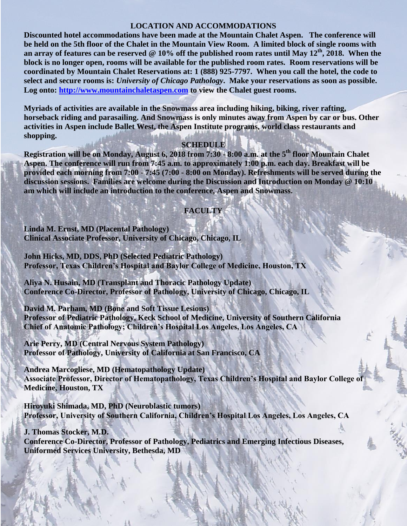#### **LOCATION AND ACCOMMODATIONS**

**Discounted hotel accommodations have been made at the Mountain Chalet Aspen. The conference will be held on the 5th floor of the Chalet in the Mountain View Room. A limited block of single rooms with an array of features can be reserved @ 10% off the published room rates until May 12th, 2018. When the block is no longer open, rooms will be available for the published room rates. Room reservations will be coordinated by Mountain Chalet Reservations at: 1 (888) 925-7797. When you call the hotel, the code to select and secure rooms is:** *University of Chicago Pathology***. Make your reservations as soon as possible. Log onto: [http://www.mountainchaletaspen.com](http://www.mountainchaletaspen.com/) to view the Chalet guest rooms.**

**Myriads of activities are available in the Snowmass area including hiking, biking, river rafting, horseback riding and parasailing. And Snowmass is only minutes away from Aspen by car or bus. Other activities in Aspen include Ballet West, the Aspen Institute programs, world class restaurants and shopping.** 

#### **SCHEDULE**

**Registration will be on Monday, August 6, 2018 from 7:30 - 8:00 a.m. at the 5 th floor Mountain Chalet Aspen. The conference will run from 7:45 a.m. to approximately 1:00 p.m. each day. Breakfast will be provided each morning from 7:00 - 7:45 (7:00 - 8:00 on Monday). Refreshments will be served during the discussion sessions. Families are welcome during the Discussion and Introduction on Monday @ 10:10 am which will include an introduction to the conference, Aspen and Snowmass.**

#### **FACULTY**

**Linda M. Ernst, MD (Placental Pathology) Clinical Associate Professor, University of Chicago, Chicago, IL**

**John Hicks, MD, DDS, PhD (Selected Pediatric Pathology) Professor, Texas Children's Hospital and Baylor College of Medicine, Houston, TX**

**Aliya N. Husain, MD (Transplant and Thoracic Pathology Update) Conference Co-Director, Professor of Pathology, University of Chicago, Chicago, IL**

**David M. Parham, MD (Bone and Soft Tissue Lesions) Professor of Pediatric Pathology, Keck School of Medicine, University of Southern California Chief of Anatomic Pathology; Children's Hospital Los Angeles, Los Angeles, CA**

**Arie Perry, MD (Central Nervous System Pathology) Professor of Pathology, University of California at San Francisco, CA**

**Andrea Marcogliese, MD (Hematopathology Update) Associate Professor, Director of Hematopathology, Texas Children's Hospital and Baylor College of Medicine, Houston, TX**

**Hiroyuki Shimada, MD, PhD (Neuroblastic tumors) Professor, University of Southern California, Children's Hospital Los Angeles, Los Angeles, CA**

**J. Thomas Stocker, M.D. Conference Co-Director, Professor of Pathology, Pediatrics and Emerging Infectious Diseases, Uniformed Services University, Bethesda, MD**